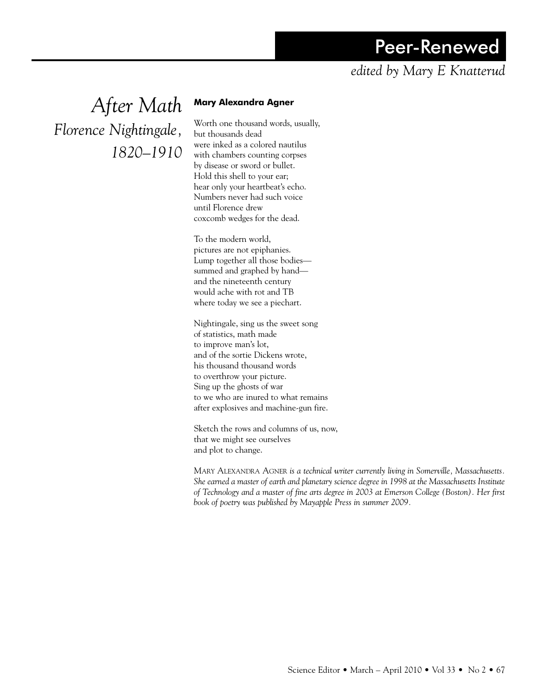## Peer-Renewed

## *edited by Mary E Knatterud*

*After Math Florence Nightingale, 1820–1910*

## **Mary Alexandra Agner**

Worth one thousand words, usually, but thousands dead were inked as a colored nautilus with chambers counting corpses by disease or sword or bullet. Hold this shell to your ear; hear only your heartbeat's echo. Numbers never had such voice until Florence drew coxcomb wedges for the dead.

To the modern world, pictures are not epiphanies. Lump together all those bodies summed and graphed by hand and the nineteenth century would ache with rot and TB where today we see a piechart.

Nightingale, sing us the sweet song of statistics, math made to improve man's lot, and of the sortie Dickens wrote, his thousand thousand words to overthrow your picture. Sing up the ghosts of war to we who are inured to what remains after explosives and machine-gun fire.

Sketch the rows and columns of us, now, that we might see ourselves and plot to change.

Mary Alexandra Agner *is a technical writer currently living in Somerville, Massachusetts. She earned a master of earth and planetary science degree in 1998 at the Massachusetts Institute of Technology and a master of fine arts degree in 2003 at Emerson College (Boston). Her first book of poetry was published by Mayapple Press in summer 2009.*